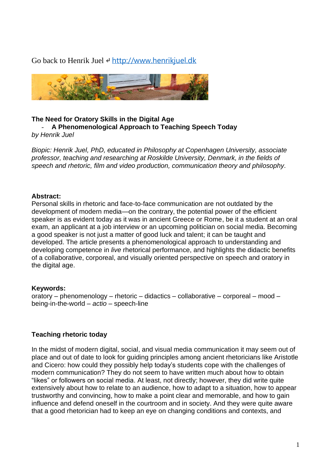Go back to Henrik Juel  $\leftrightarrow$  [http://www.henrikjuel.dk](http://www.henrikjuel.dk/)



## **The Need for Oratory Skills in the Digital Age** - **A Phenomenological Approach to Teaching Speech Today**

*by Henrik Juel*

*Biopic: Henrik Juel, PhD, educated in Philosophy at Copenhagen University, associate professor, teaching and researching at Roskilde University, Denmark, in the fields of speech and rhetoric, film and video production, communication theory and philosophy.*

### **Abstract:**

Personal skills in rhetoric and face-to-face communication are not outdated by the development of modern media—on the contrary, the potential power of the efficient speaker is as evident today as it was in ancient Greece or Rome, be it a student at an oral exam, an applicant at a job interview or an upcoming politician on social media. Becoming a good speaker is not just a matter of good luck and talent; it can be taught and developed. The article presents a phenomenological approach to understanding and developing competence in *live* rhetorical performance, and highlights the didactic benefits of a collaborative, corporeal, and visually oriented perspective on speech and oratory in the digital age.

# **Keywords:**

oratory – phenomenology – rhetoric – didactics – collaborative – corporeal – mood – being-in-the-world – *actio* – speech-line

# **Teaching rhetoric today**

In the midst of modern digital, social, and visual media communication it may seem out of place and out of date to look for guiding principles among ancient rhetoricians like Aristotle and Cicero: how could they possibly help today's students cope with the challenges of modern communication? They do not seem to have written much about how to obtain "likes" or followers on social media. At least, not directly; however, they did write quite extensively about how to relate to an audience, how to adapt to a situation, how to appear trustworthy and convincing, how to make a point clear and memorable, and how to gain influence and defend oneself in the courtroom and in society. And they were quite aware that a good rhetorician had to keep an eye on changing conditions and contexts, and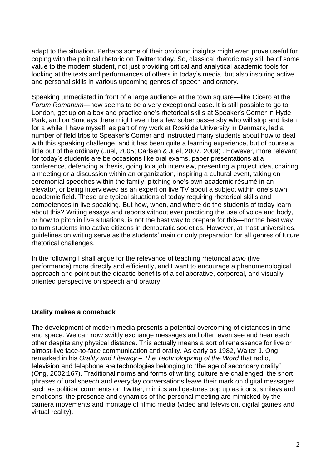adapt to the situation. Perhaps some of their profound insights might even prove useful for coping with the political rhetoric on Twitter today. So, classical rhetoric may still be of some value to the modern student, not just providing critical and analytical academic tools for looking at the texts and performances of others in today's media, but also inspiring active and personal skills in various upcoming genres of speech and oratory.

Speaking unmediated in front of a large audience at the town square—like Cicero at the *Forum Romanum*—now seems to be a very exceptional case. It is still possible to go to London, get up on a box and practice one's rhetorical skills at Speaker's Corner in Hyde Park, and on Sundays there might even be a few sober passersby who will stop and listen for a while. I have myself, as part of my work at Roskilde University in Denmark, led a number of field trips to Speaker's Corner and instructed many students about how to deal with this speaking challenge, and it has been quite a learning experience, but of course a little out of the ordinary (Juel, 2005; Carlsen & Juel, 2007, 2009) . However, more relevant for today's students are be occasions like oral exams, paper presentations at a conference, defending a thesis, going to a job interview, presenting a project idea, chairing a meeting or a discussion within an organization, inspiring a cultural event, taking on ceremonial speeches within the family, pitching one's own academic résumé in an elevator, or being interviewed as an expert on live TV about a subject within one's own academic field. These are typical situations of today requiring rhetorical skills and competences in live speaking. But how, when, and where do the students of today learn about this? Writing essays and reports without ever practicing the use of voice and body, or how to pitch in live situations, is not the best way to prepare for this—nor the best way to turn students into active citizens in democratic societies. However, at most universities, guidelines on writing serve as the students' main or only preparation for all genres of future rhetorical challenges.

In the following I shall argue for the relevance of teaching rhetorical *actio* (live performance) more directly and efficiently, and I want to encourage a phenomenological approach and point out the didactic benefits of a collaborative, corporeal, and visually oriented perspective on speech and oratory.

# **Orality makes a comeback**

The development of modern media presents a potential overcoming of distances in time and space. We can now swiftly exchange messages and often even see and hear each other despite any physical distance. This actually means a sort of renaissance for live or almost-live face-to-face communication and orality. As early as 1982, Walter J. Ong remarked in his *Orality and Literacy – The Technologizing of the Word* that radio, television and telephone are technologies belonging to "the age of secondary orality" (Ong, 2002:167). Traditional norms and forms of writing culture are challenged: the short phrases of oral speech and everyday conversations leave their mark on digital messages such as political comments on Twitter; mimics and gestures pop up as icons, smileys and emoticons; the presence and dynamics of the personal meeting are mimicked by the camera movements and montage of filmic media (video and television, digital games and virtual reality).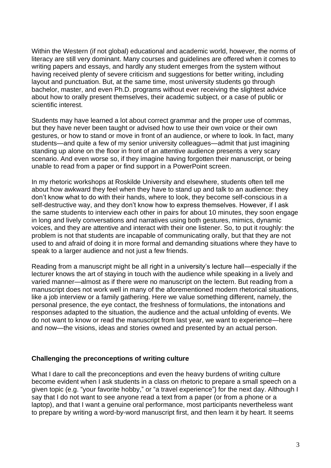Within the Western (if not global) educational and academic world, however, the norms of literacy are still very dominant. Many courses and guidelines are offered when it comes to writing papers and essays, and hardly any student emerges from the system without having received plenty of severe criticism and suggestions for better writing, including layout and punctuation. But, at the same time, most university students go through bachelor, master, and even Ph.D. programs without ever receiving the slightest advice about how to orally present themselves, their academic subject, or a case of public or scientific interest.

Students may have learned a lot about correct grammar and the proper use of commas, but they have never been taught or advised how to use their own voice or their own gestures, or how to stand or move in front of an audience, or where to look. In fact, many students—and quite a few of my senior university colleagues—admit that just imagining standing up alone on the floor in front of an attentive audience presents a very scary scenario. And even worse so, if they imagine having forgotten their manuscript, or being unable to read from a paper or find support in a PowerPoint screen.

In my rhetoric workshops at Roskilde University and elsewhere, students often tell me about how awkward they feel when they have to stand up and talk to an audience: they don't know what to do with their hands, where to look, they become self-conscious in a self-destructive way, and they don't know how to express themselves. However, if I ask the same students to interview each other in pairs for about 10 minutes, they soon engage in long and lively conversations and narratives using both gestures, mimics, dynamic voices, and they are attentive and interact with their one listener. So, to put it roughly: the problem is not that students are incapable of communicating orally, but that they are not used to and afraid of doing it in more formal and demanding situations where they have to speak to a larger audience and not just a few friends.

Reading from a manuscript might be all right in a university's lecture hall—especially if the lecturer knows the art of staying in touch with the audience while speaking in a lively and varied manner—almost as if there were no manuscript on the lectern. But reading from a manuscript does not work well in many of the aforementioned modern rhetorical situations, like a job interview or a family gathering. Here we value something different, namely, the personal presence, the eye contact, the freshness of formulations, the intonations and responses adapted to the situation, the audience and the actual unfolding of events. We do not want to know or read the manuscript from last year, we want to experience—here and now—the visions, ideas and stories owned and presented by an actual person.

### **Challenging the preconceptions of writing culture**

What I dare to call the preconceptions and even the heavy burdens of writing culture become evident when I ask students in a class on rhetoric to prepare a small speech on a given topic (e.g. "your favorite hobby," or "a travel experience") for the next day. Although I say that I do not want to see anyone read a text from a paper (or from a phone or a laptop), and that I want a genuine oral performance, most participants nevertheless want to prepare by writing a word-by-word manuscript first, and then learn it by heart. It seems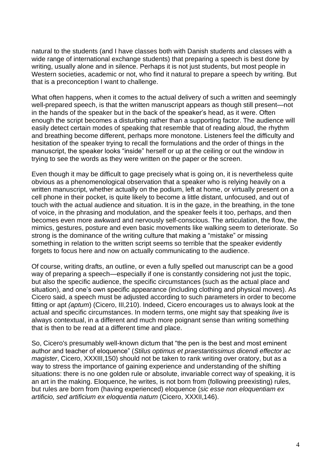natural to the students (and I have classes both with Danish students and classes with a wide range of international exchange students) that preparing a speech is best done by writing, usually alone and in silence. Perhaps it is not just students, but most people in Western societies, academic or not, who find it natural to prepare a speech by writing. But that is a preconception I want to challenge.

What often happens, when it comes to the actual delivery of such a written and seemingly well-prepared speech, is that the written manuscript appears as though still present—not in the hands of the speaker but in the back of the speaker's head, as it were. Often enough the script becomes a disturbing rather than a supporting factor. The audience will easily detect certain modes of speaking that resemble that of reading aloud, the rhythm and breathing become different, perhaps more monotone. Listeners feel the difficulty and hesitation of the speaker trying to recall the formulations and the order of things in the manuscript, the speaker looks "inside" herself or up at the ceiling or out the window in trying to see the words as they were written on the paper or the screen.

Even though it may be difficult to gage precisely what is going on, it is nevertheless quite obvious as a phenomenological observation that a speaker who is relying heavily on a written manuscript, whether actually on the podium, left at home, or virtually present on a cell phone in their pocket, is quite likely to become a little distant, unfocused, and out of touch with the actual audience and situation. It is in the gaze, in the breathing, in the tone of voice, in the phrasing and modulation, and the speaker feels it too, perhaps, and then becomes even more awkward and nervously self-conscious. The articulation, the flow, the mimics, gestures, posture and even basic movements like walking seem to deteriorate. So strong is the dominance of the writing culture that making a "mistake" or missing something in relation to the written script seems so terrible that the speaker evidently forgets to focus here and now on actually communicating to the audience.

Of course, writing drafts, an outline, or even a fully spelled out manuscript can be a good way of preparing a speech—especially if one is constantly considering not just the topic, but also the specific audience, the specific circumstances (such as the actual place and situation), and one's own specific appearance (including clothing and physical moves). As Cicero said, a speech must be adjusted according to such parameters in order to become fitting or apt *(aptum*) (Cicero, III,210). Indeed, Cicero encourages us to always look at the actual and specific circumstances. In modern terms, one might say that speaking *live* is always contextual, in a different and much more poignant sense than writing something that is then to be read at a different time and place.

So, Cicero's presumably well-known dictum that "the pen is the best and most eminent author and teacher of eloquence" (*Stilus optimus et praestantissimus dicendi effector ac magister*, Cicero, XXXIII,150) should not be taken to rank writing over oratory, but as a way to stress the importance of gaining experience and understanding of the shifting situations: there is no one golden rule or absolute, invariable correct way of speaking, it is an art in the making. Eloquence, he writes, is not born from (following preexisting) rules, but rules are born from (having experienced) eloquence (*sic esse non eloquentiam ex artificio, sed artificium ex eloquentia natum* (Cicero, XXXII,146).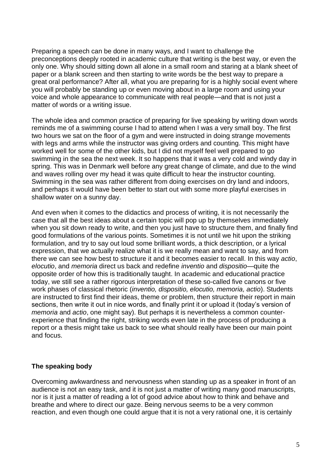Preparing a speech can be done in many ways, and I want to challenge the preconceptions deeply rooted in academic culture that writing is the best way, or even the only one. Why should sitting down all alone in a small room and staring at a blank sheet of paper or a blank screen and then starting to write words be the best way to prepare a great oral performance? After all, what you are preparing for is a highly social event where you will probably be standing up or even moving about in a large room and using your voice and whole appearance to communicate with real people—and that is not just a matter of words or a writing issue.

The whole idea and common practice of preparing for live speaking by writing down words reminds me of a swimming course I had to attend when I was a very small boy. The first two hours we sat on the floor of a gym and were instructed in doing strange movements with legs and arms while the instructor was giving orders and counting. This might have worked well for some of the other kids, but I did not myself feel well prepared to go swimming in the sea the next week. It so happens that it was a very cold and windy day in spring. This was in Denmark well before any great change of climate, and due to the wind and waves rolling over my head it was quite difficult to hear the instructor counting. Swimming in the sea was rather different from doing exercises on dry land and indoors, and perhaps it would have been better to start out with some more playful exercises in shallow water on a sunny day.

And even when it comes to the didactics and process of writing, it is not necessarily the case that all the best ideas about a certain topic will pop up by themselves immediately when you sit down ready to write, and then you just have to structure them, and finally find good formulations of the various points. Sometimes it is not until we hit upon the striking formulation, and try to say out loud some brilliant words, a thick description, or a lyrical expression, that we actually realize what it is we really mean and want to say, and from there we can see how best to structure it and it becomes easier to recall. In this way *actio*, *elocutio*, and *memoria* direct us back and redefine *inventio* and *dispositio*—quite the opposite order of how this is traditionally taught. In academic and educational practice today, we still see a rather rigorous interpretation of these so-called five canons or five work phases of classical rhetoric (*inventio, dispositio, elocutio, memoria, actio*). Students are instructed to first find their ideas, theme or problem, then structure their report in main sections, then write it out in nice words, and finally print it or upload it (today's version of *memoria* and *actio*, one might say). But perhaps it is nevertheless a common counterexperience that finding the right, striking words even late in the process of producing a report or a thesis might take us back to see what should really have been our main point and focus.

### **The speaking body**

Overcoming awkwardness and nervousness when standing up as a speaker in front of an audience is not an easy task, and it is not just a matter of writing many good manuscripts, nor is it just a matter of reading a lot of good advice about how to think and behave and breathe and where to direct our gaze. Being nervous seems to be a very common reaction, and even though one could argue that it is not a very rational one, it is certainly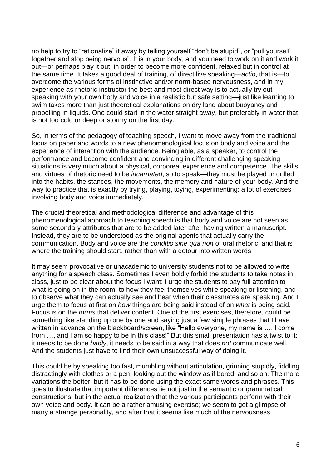no help to try to "rationalize" it away by telling yourself "don't be stupid", or "pull yourself together and stop being nervous". It is in your body, and you need to work on it and work it out—or perhaps play it out, in order to become more confident, relaxed but in control at the same time. It takes a good deal of training, of direct live speaking—*actio*, that is—to overcome the various forms of instinctive and/or norm-based nervousness, and in my experience as rhetoric instructor the best and most direct way is to actually try out speaking with your own body and voice in a realistic but safe setting—just like learning to swim takes more than just theoretical explanations on dry land about buoyancy and propelling in liquids. One could start in the water straight away, but preferably in water that is not too cold or deep or stormy on the first day.

So, in terms of the pedagogy of teaching speech, I want to move away from the traditional focus on paper and words to a new phenomenological focus on body and voice and the experience of interaction with the audience. Being able, as a speaker, to control the performance and become confident and convincing in different challenging speaking situations is very much about a physical, corporeal experience and competence. The skills and virtues of rhetoric need to be *incarnated*, so to speak—they must be played or drilled into the habits, the stances, the movements, the memory and nature of your body. And the way to practice that is exactly by trying, playing, toying, experimenting: a lot of exercises involving body and voice immediately.

The crucial theoretical and methodological difference and advantage of this phenomenological approach to teaching speech is that body and voice are not seen as some secondary attributes that are to be added later after having written a manuscript. Instead, they are to be understood as the original agents that actually carry the communication. Body and voice are the *conditio sine qua non* of oral rhetoric, and that is where the training should start, rather than with a detour into written words.

It may seem provocative or unacademic to university students not to be allowed to write anything for a speech class. Sometimes I even boldly forbid the students to take notes in class, just to be clear about the focus I want: I urge the students to pay full attention to what is going on in the room, to how they feel themselves while speaking or listening, and to observe what they can actually see and hear when their classmates are speaking. And I urge them to focus at first on *how* things are being said instead of on *what* is being said. Focus is on the *forms* that deliver content. One of the first exercises, therefore, could be something like standing up one by one and saying just a few simple phrases that I have written in advance on the blackboard/screen, like "Hello everyone, my name is …, I come from …, and I am so happy to be in this class!" But this small presentation has a twist to it: it needs to be done *badly*, it needs to be said in a way that does *not* communicate well. And the students just have to find their own unsuccessful way of doing it.

This could be by speaking too fast, mumbling without articulation, grinning stupidly, fiddling distractingly with clothes or a pen, looking out the window as if bored, and so on. The more variations the better, but it has to be done using the exact same words and phrases. This goes to illustrate that important differences lie not just in the semantic or grammatical constructions, but in the actual realization that the various participants perform with their own voice and body. It can be a rather amusing exercise; we seem to get a glimpse of many a strange personality, and after that it seems like much of the nervousness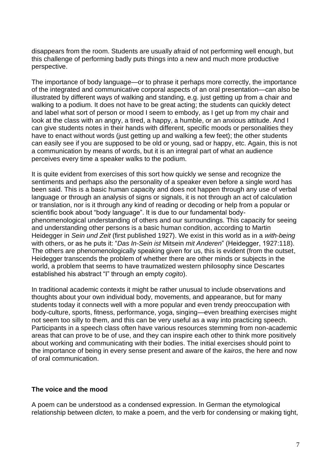disappears from the room. Students are usually afraid of not performing well enough, but this challenge of performing badly puts things into a new and much more productive perspective.

The importance of body language—or to phrase it perhaps more correctly, the importance of the integrated and communicative corporal aspects of an oral presentation—can also be illustrated by different ways of walking and standing, e.g. just getting up from a chair and walking to a podium. It does not have to be great acting; the students can quickly detect and label what sort of person or mood I seem to embody, as I get up from my chair and look at the class with an angry, a tired, a happy, a humble, or an anxious attitude. And I can give students notes in their hands with different, specific moods or personalities they have to enact without words (just getting up and walking a few feet); the other students can easily see if you are supposed to be old or young, sad or happy, etc. Again, this is not a communication by means of words, but it is an integral part of what an audience perceives every time a speaker walks to the podium.

It is quite evident from exercises of this sort how quickly we sense and recognize the sentiments and perhaps also the personality of a speaker even before a single word has been said. This is a basic human capacity and does not happen through any use of verbal language or through an analysis of signs or signals, it is not through an act of calculation or translation, nor is it through any kind of reading or decoding or help from a popular or scientific book about "body language". It is due to our fundamental bodyphenomenological understanding of others and our surroundings. This capacity for seeing and understanding other persons is a basic human condition, according to Martin Heidegger in *Sein und Zeit* (first published 1927). We exist in this world as in a *with-being* with others, or as he puts it: "*Das In-Sein ist* Mitsein *mit Anderen*" (Heidegger, 1927:118). The others are phenomenologically speaking given for us, this is evident (from the outset, Heidegger transcends the problem of whether there are other minds or subjects in the world, a problem that seems to have traumatized western philosophy since Descartes established his abstract "I" through an empty *cogito*).

In traditional academic contexts it might be rather unusual to include observations and thoughts about your own individual body, movements, and appearance, but for many students today it connects well with a more popular and even trendy preoccupation with body-culture, sports, fitness, performance, yoga, singing—even breathing exercises might not seem too silly to them, and this can be very useful as a way into practicing speech. Participants in a speech class often have various resources stemming from non-academic areas that can prove to be of use, and they can inspire each other to think more positively about working and communicating with their bodies. The initial exercises should point to the importance of being in every sense present and aware of the *kairos*, the here and now of oral communication.

### **The voice and the mood**

A poem can be understood as a condensed expression. In German the etymological relationship between *dicten,* to make a poem, and the verb for condensing or making tight,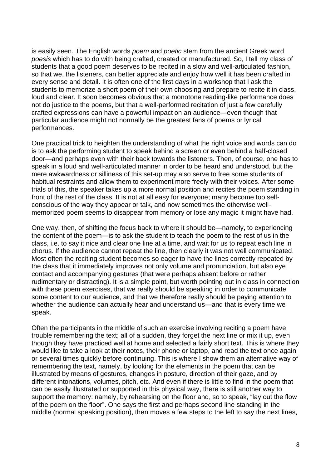is easily seen. The English words *poem* and *poetic* stem from the ancient Greek word *poesis* which has to do with being crafted, created or manufactured. So, I tell my class of students that a good poem deserves to be recited in a slow and well-articulated fashion, so that we, the listeners, can better appreciate and enjoy how well it has been crafted in every sense and detail. It is often one of the first days in a workshop that I ask the students to memorize a short poem of their own choosing and prepare to recite it in class, loud and clear. It soon becomes obvious that a monotone reading-like performance does not do justice to the poems, but that a well-performed recitation of just a few carefully crafted expressions can have a powerful impact on an audience—even though that particular audience might not normally be the greatest fans of poems or lyrical performances.

One practical trick to heighten the understanding of what the right voice and words can do is to ask the performing student to speak behind a screen or even behind a half-closed door—and perhaps even with their back towards the listeners. Then, of course, one has to speak in a loud and well-articulated manner in order to be heard and understood, but the mere awkwardness or silliness of this set-up may also serve to free some students of habitual restraints and allow them to experiment more freely with their voices. After some trials of this, the speaker takes up a more normal position and recites the poem standing in front of the rest of the class. It is not at all easy for everyone; many become too selfconscious of the way they appear or talk, and now sometimes the otherwise wellmemorized poem seems to disappear from memory or lose any magic it might have had.

One way, then, of shifting the focus back to where it should be—namely, to experiencing the content of the poem—is to ask the student to teach the poem to the rest of us in the class, i.e. to say it nice and clear one line at a time, and wait for us to repeat each line in chorus. If the audience cannot repeat the line, then clearly it was not well communicated. Most often the reciting student becomes so eager to have the lines correctly repeated by the class that it immediately improves not only volume and pronunciation, but also eye contact and accompanying gestures (that were perhaps absent before or rather rudimentary or distracting). It is a simple point, but worth pointing out in class in connection with these poem exercises, that we really should be speaking in order to communicate some content to our audience, and that we therefore really should be paying attention to whether the audience can actually hear and understand us—and that is every time we speak.

Often the participants in the middle of such an exercise involving reciting a poem have trouble remembering the text; all of a sudden, they forget the next line or mix it up, even though they have practiced well at home and selected a fairly short text. This is where they would like to take a look at their notes, their phone or laptop, and read the text once again or several times quickly before continuing. This is where I show them an alternative way of remembering the text, namely, by looking for the elements in the poem that can be illustrated by means of gestures, changes in posture, direction of their gaze, and by different intonations, volumes, pitch, etc. And even if there is little to find in the poem that can be easily illustrated or supported in this physical way, there is still another way to support the memory: namely, by rehearsing on the floor and, so to speak, "lay out the flow of the poem on the floor". One says the first and perhaps second line standing in the middle (normal speaking position), then moves a few steps to the left to say the next lines,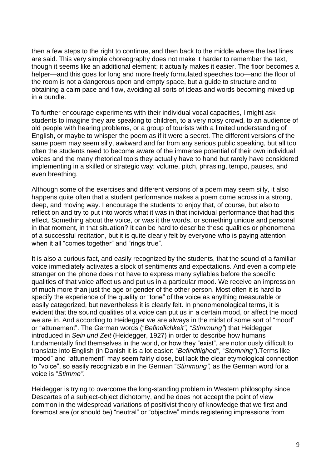then a few steps to the right to continue, and then back to the middle where the last lines are said. This very simple choreography does not make it harder to remember the text, though it seems like an additional element; it actually makes it easier. The floor becomes a helper—and this goes for long and more freely formulated speeches too—and the floor of the room is not a dangerous open and empty space, but a guide to structure and to obtaining a calm pace and flow, avoiding all sorts of ideas and words becoming mixed up in a bundle.

To further encourage experiments with their individual vocal capacities, I might ask students to imagine they are speaking to children, to a very noisy crowd, to an audience of old people with hearing problems, or a group of tourists with a limited understanding of English, or maybe to whisper the poem as if it were a secret. The different versions of the same poem may seem silly, awkward and far from any serious public speaking, but all too often the students need to become aware of the immense potential of their own individual voices and the many rhetorical tools they actually have to hand but rarely have considered implementing in a skilled or strategic way: volume, pitch, phrasing, tempo, pauses, and even breathing.

Although some of the exercises and different versions of a poem may seem silly, it also happens quite often that a student performance makes a poem come across in a strong, deep, and moving way. I encourage the students to enjoy that, of course, but also to reflect on and try to put into words what it was in that individual performance that had this effect. Something about the voice, or was it the words, or something unique and personal in that moment, in that situation? It can be hard to describe these qualities or phenomena of a successful recitation, but it is quite clearly felt by everyone who is paying attention when it all "comes together" and "rings true".

It is also a curious fact, and easily recognized by the students, that the sound of a familiar voice immediately activates a stock of sentiments and expectations. And even a complete stranger on the phone does not have to express many syllables before the specific qualities of that voice affect us and put us in a particular mood. We receive an impression of much more than just the age or gender of the other person. Most often it is hard to specify the experience of the quality or "tone" of the voice as anything measurable or easily categorized, but nevertheless it is clearly felt. In phenomenological terms, it is evident that the sound qualities of a voice can put us in a certain mood, or affect the mood we are in. And according to Heidegger we are always in the midst of some sort of "mood" or "attunement". The German words ("*Befindlichkeit", "Stimmung"*) that Heidegger introduced in *Sein und Zeit* (Heidegger, 1927) in order to describe how humans fundamentally find themselves in the world, or how they "exist", are notoriously difficult to translate into English (in Danish it is a lot easier: "*Befindtlighed"*, "*Stemning"*).Terms like "mood" and "attunement" may seem fairly close, but lack the clear etymological connection to "voice", so easily recognizable in the German "*Stimmung",* as the German word for a voice is "*Stimme"*.

Heidegger is trying to overcome the long-standing problem in Western philosophy since Descartes of a subject-object dichotomy, and he does not accept the point of view common in the widespread variations of positivist theory of knowledge that we first and foremost are (or should be) "neutral" or "objective" minds registering impressions from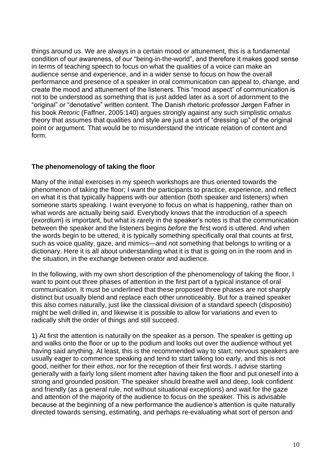things around us. We are always in a certain mood or attunement, this is a fundamental condition of our awareness, of our "being-in-the-world", and therefore it makes good sense in terms of teaching speech to focus on what the qualities of a voice can make an audience sense and experience, and in a wider sense to focus on how the overall performance and presence of a speaker in oral communication can appeal to, change, and create the mood and attunement of the listeners. This "mood aspect" of communication is not to be understood as something that is just added later as a sort of adornment to the "original" or "denotative" written content. The Danish rhetoric professor Jørgen Fafner in his book *Retoric* (Faffner, 2005:140) argues strongly against any such simplistic *ornatus* theory that assumes that qualities and style are just a sort of "dressing up" of the original point or argument. That would be to misunderstand the intricate relation of content and form.

# **The phenomenology of taking the floor**

Many of the initial exercises in my speech workshops are thus oriented towards the phenomenon of taking the floor; I want the participants to practice, experience, and reflect on what it is that typically happens with our attention (both speaker and listeners) when someone starts speaking. I want everyone to focus on what is happening, rather than on what words are actually being said. Everybody knows that the introduction of a speech (*exordium*) is important, but what is rarely in the speaker's notes is that the communication between the speaker and the listeners begins *before* the first word is uttered. And when the words begin to be uttered, it is typically something specifically oral that counts at first, such as voice quality, gaze, and mimics—and not something that belongs to writing or a dictionary. Here it is all about understanding what it is that is going on in the room and in the situation, in the exchange between orator and audience.

In the following, with my own short description of the phenomenology of taking the floor, I want to point out three phases of attention in the first part of a typical instance of oral communication. It must be underlined that these proposed three phases are not sharply distinct but usually blend and replace each other unnoticeably. But for a trained speaker this also comes naturally, just like the classical division of a standard speech (*dispositio*) might be well drilled in, and likewise it is possible to allow for variations and even to radically shift the order of things and still succeed.

1) At first the attention is naturally on the speaker as a person. The speaker is getting up and walks onto the floor or up to the podium and looks out over the audience without yet having said anything. At least, this is the recommended way to start; nervous speakers are usually eager to commence speaking and tend to start talking too early, and this is not good, neither for their *ethos*, nor for the reception of their first words. I advise starting generally with a fairly long silent moment after having taken the floor and put oneself into a strong and grounded position. The speaker should breathe well and deep, look confident and friendly (as a general rule, not without situational exceptions) and wait for the gaze and attention of the majority of the audience to focus on the speaker. This is advisable because at the beginning of a new performance the audience's attention is quite naturally directed towards sensing, estimating, and perhaps re-evaluating what sort of person and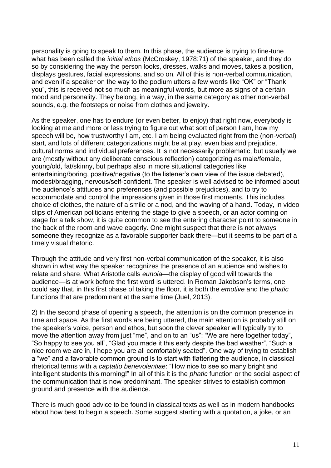personality is going to speak to them. In this phase, the audience is trying to fine-tune what has been called the *initial ethos* (McCroskey, 1978:71) of the speaker, and they do so by considering the way the person looks, dresses, walks and moves, takes a position, displays gestures, facial expressions, and so on. All of this is non-verbal communication, and even if a speaker on the way to the podium utters a few words like "OK" or "Thank you", this is received not so much as meaningful words, but more as signs of a certain mood and personality. They belong, in a way, in the same category as other non-verbal sounds, e.g. the footsteps or noise from clothes and jewelry.

As the speaker, one has to endure (or even better, to enjoy) that right now, everybody is looking at me and more or less trying to figure out what sort of person I am, how my speech will be, how trustworthy I am, etc. I am being evaluated right from the (non-verbal) start, and lots of different categorizations might be at play, even bias and prejudice, cultural norms and individual preferences. It is not necessarily problematic, but usually we are (mostly without any deliberate conscious reflection) categorizing as male/female, young/old, fat/skinny, but perhaps also in more situational categories like entertaining/boring, positive/negative (to the listener's own view of the issue debated), modest/bragging, nervous/self-confident. The speaker is well advised to be informed about the audience's attitudes and preferences (and possible prejudices), and to try to accommodate and control the impressions given in those first moments. This includes choice of clothes, the nature of a smile or a nod, and the waving of a hand. Today, in video clips of American politicians entering the stage to give a speech, or an actor coming on stage for a talk show, it is quite common to see the entering character point to someone in the back of the room and wave eagerly. One might suspect that there is not always someone they recognize as a favorable supporter back there—but it seems to be part of a timely visual rhetoric.

Through the attitude and very first non-verbal communication of the speaker, it is also shown in what way the speaker recognizes the presence of an audience and wishes to relate and share. What Aristotle calls *eunoia—*the display of good will towards the audience—is at work before the first word is uttered. In Roman Jakobson's terms, one could say that, in this first phase of taking the floor, it is both the *emotive* and the *phatic* functions that are predominant at the same time (Juel, 2013).

2) In the second phase of opening a speech, the attention is on the common presence in time and space. As the first words are being uttered, the main attention is probably still on the speaker's voice, person and ethos, but soon the clever speaker will typically try to move the attention away from just "me", and on to an "us": "We are here together today", "So happy to see you all", "Glad you made it this early despite the bad weather", "Such a nice room we are in, I hope you are all comfortably seated". One way of trying to establish a "we" and a favorable common ground is to start with flattering the audience, in classical rhetorical terms with a *captatio benevolentiae*: "How nice to see so many bright and intelligent students this morning!" In all of this it is the *phatic* function or the social aspect of the communication that is now predominant. The speaker strives to establish common ground and presence with the audience.

There is much good advice to be found in classical texts as well as in modern handbooks about how best to begin a speech. Some suggest starting with a quotation, a joke, or an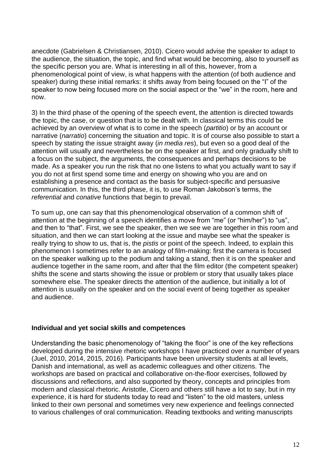anecdote (Gabrielsen & Christiansen, 2010). Cicero would advise the speaker to adapt to the audience, the situation, the topic, and find what would be becoming, also to yourself as the specific person you are. What is interesting in all of this, however, from a phenomenological point of view, is what happens with the attention (of both audience and speaker) during these initial remarks: it shifts away from being focused on the "I" of the speaker to now being focused more on the social aspect or the "we" in the room, here and now.

3) In the third phase of the opening of the speech event, the attention is directed towards the topic, the case, or question that is to be dealt with. In classical terms this could be achieved by an overview of what is to come in the speech (*partitio*) or by an account or narrative (*narratio*) concerning the situation and topic. It is of course also possible to start a speech by stating the issue straight away (*in media res*), but even so a good deal of the attention will usually and nevertheless be on the speaker at first, and only gradually shift to a focus on the subject, the arguments, the consequences and perhaps decisions to be made. As a speaker you run the risk that no one listens to what you actually want to say if you do not at first spend some time and energy on showing who you are and on establishing a presence and contact as the basis for subject-specific and persuasive communication. In this, the third phase, it is, to use Roman Jakobson's terms, the *referential* and *conative* functions that begin to prevail.

To sum up, one can say that this phenomenological observation of a common shift of attention at the beginning of a speech identifies a move from "me" (or "him/her") to "us", and then to "that". First, we see the speaker, then we see we are together in this room and situation, and then we can start looking at the issue and maybe see what the speaker is really trying to show to us, that is, the *pistis* or point of the speech. Indeed, to explain this phenomenon I sometimes refer to an analogy of film-making: first the camera is focused on the speaker walking up to the podium and taking a stand, then it is on the speaker and audience together in the same room, and after that the film editor (the competent speaker) shifts the scene and starts showing the issue or problem or story that usually takes place somewhere else. The speaker directs the attention of the audience, but initially a lot of attention is usually on the speaker and on the social event of being together as speaker and audience.

### **Individual and yet social skills and competences**

Understanding the basic phenomenology of "taking the floor" is one of the key reflections developed during the intensive rhetoric workshops I have practiced over a number of years (Juel, 2010, 2014, 2015, 2016). Participants have been university students at all levels, Danish and international, as well as academic colleagues and other citizens. The workshops are based on practical and collaborative on-the-floor exercises, followed by discussions and reflections, and also supported by theory, concepts and principles from modern and classical rhetoric. Aristotle, Cicero and others still have a lot to say, but in my experience, it is hard for students today to read and "listen" to the old masters, unless linked to their own personal and sometimes very new experience and feelings connected to various challenges of oral communication. Reading textbooks and writing manuscripts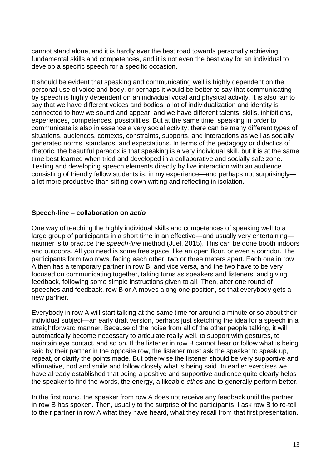cannot stand alone, and it is hardly ever the best road towards personally achieving fundamental skills and competences, and it is not even the best way for an individual to develop a specific speech for a specific occasion.

It should be evident that speaking and communicating well is highly dependent on the personal use of voice and body, or perhaps it would be better to say that communicating by speech is highly dependent on an individual vocal and physical activity. It is also fair to say that we have different voices and bodies, a lot of individualization and identity is connected to how we sound and appear, and we have different talents, skills, inhibitions, experiences, competences, possibilities. But at the same time, speaking in order to communicate is also in essence a very social activity; there can be many different types of situations, audiences, contexts, constraints, supports, and interactions as well as socially generated norms, standards, and expectations. In terms of the pedagogy or didactics of rhetoric, the beautiful paradox is that speaking is a very individual skill, but it is at the same time best learned when tried and developed in a collaborative and socially safe zone. Testing and developing speech elements directly by live interaction with an audience consisting of friendly fellow students is, in my experience—and perhaps not surprisingly a lot more productive than sitting down writing and reflecting in isolation.

### **Speech-line – collaboration on** *actio*

One way of teaching the highly individual skills and competences of speaking well to a large group of participants in a short time in an effective—and usually very entertaining manner is to practice the *speech-line* method (Juel, 2015). This can be done booth indoors and outdoors. All you need is some free space, like an open floor, or even a corridor. The participants form two rows, facing each other, two or three meters apart. Each one in row A then has a temporary partner in row B, and vice versa, and the two have to be very focused on communicating together, taking turns as speakers and listeners, and giving feedback, following some simple instructions given to all. Then, after one round of speeches and feedback, row B or A moves along one position, so that everybody gets a new partner.

Everybody in row A will start talking at the same time for around a minute or so about their individual subject—an early draft version, perhaps just sketching the idea for a speech in a straightforward manner. Because of the noise from all of the other people talking, it will automatically become necessary to articulate really well, to support with gestures, to maintain eye contact, and so on. If the listener in row B cannot hear or follow what is being said by their partner in the opposite row, the listener must ask the speaker to speak up, repeat, or clarify the points made. But otherwise the listener should be very supportive and affirmative, nod and smile and follow closely what is being said. In earlier exercises we have already established that being a positive and supportive audience quite clearly helps the speaker to find the words, the energy, a likeable *ethos* and to generally perform better.

In the first round, the speaker from row A does not receive any feedback until the partner in row B has spoken. Then, usually to the surprise of the participants, I ask row B to re-tell to their partner in row A what they have heard, what they recall from that first presentation.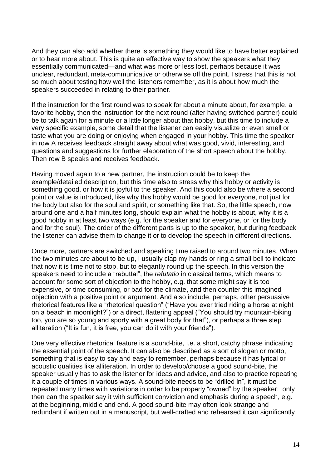And they can also add whether there is something they would like to have better explained or to hear more about. This is quite an effective way to show the speakers what they essentially communicated—and what was more or less lost, perhaps because it was unclear, redundant, meta-communicative or otherwise off the point. I stress that this is not so much about testing how well the listeners remember, as it is about how much the speakers succeeded in relating to their partner.

If the instruction for the first round was to speak for about a minute about, for example, a favorite hobby, then the instruction for the next round (after having switched partner) could be to talk again for a minute or a little longer about that hobby, but this time to include a very specific example, some detail that the listener can easily visualize or even smell or taste what you are doing or enjoying when engaged in your hobby. This time the speaker in row A receives feedback straight away about what was good, vivid, interesting, and questions and suggestions for further elaboration of the short speech about the hobby. Then row B speaks and receives feedback.

Having moved again to a new partner, the instruction could be to keep the example/detailed description, but this time also to stress why this hobby or activity is something good, or how it is joyful to the speaker. And this could also be where a second point or value is introduced, like why this hobby would be good for everyone, not just for the body but also for the soul and spirit, or something like that. So, the little speech, now around one and a half minutes long, should explain what the hobby is about, why it is a good hobby in at least two ways (e.g. for the speaker and for everyone, or for the body and for the soul). The order of the different parts is up to the speaker, but during feedback the listener can advise them to change it or to develop the speech in different directions.

Once more, partners are switched and speaking time raised to around two minutes. When the two minutes are about to be up, I usually clap my hands or ring a small bell to indicate that now it is time not to stop, but to elegantly round up the speech. In this version the speakers need to include a "rebuttal", the *refutatio* in classical terms, which means to account for some sort of objection to the hobby, e.g. that some might say it is too expensive, or time consuming, or bad for the climate, and then counter this imagined objection with a positive point or argument. And also include, perhaps, other persuasive rhetorical features like a "rhetorical question" ("Have you ever tried riding a horse at night on a beach in moonlight?") or a direct, flattering appeal ("You should try mountain-biking too, you are so young and sporty with a great body for that"), or perhaps a three step alliteration ("It is fun, it is free, you can do it with your friends").

One very effective rhetorical feature is a sound-bite, i.e. a short, catchy phrase indicating the essential point of the speech. It can also be described as a sort of slogan or motto, something that is easy to say and easy to remember, perhaps because it has lyrical or acoustic qualities like alliteration. In order to develop/choose a good sound-bite, the speaker usually has to ask the listener for ideas and advice, and also to practice repeating it a couple of times in various ways. A sound-bite needs to be "drilled in", it must be repeated many times with variations in order to be properly "owned" by the speaker: only then can the speaker say it with sufficient conviction and emphasis during a speech, e.g. at the beginning, middle and end. A good sound-bite may often look strange and redundant if written out in a manuscript, but well-crafted and rehearsed it can significantly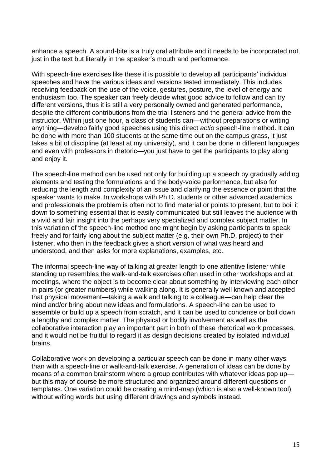enhance a speech. A sound-bite is a truly oral attribute and it needs to be incorporated not just in the text but literally in the speaker's mouth and performance.

With speech-line exercises like these it is possible to develop all participants' individual speeches and have the various ideas and versions tested immediately. This includes receiving feedback on the use of the voice, gestures, posture, the level of energy and enthusiasm too. The speaker can freely decide what good advice to follow and can try different versions, thus it is still a very personally owned and generated performance, despite the different contributions from the trial listeners and the general advice from the instructor. Within just one hour, a class of students can—without preparations or writing anything—develop fairly good speeches using this direct *actio* speech-line method. It can be done with more than 100 students at the same time out on the campus grass, it just takes a bit of discipline (at least at my university), and it can be done in different languages and even with professors in rhetoric—you just have to get the participants to play along and enjoy it.

The speech-line method can be used not only for building up a speech by gradually adding elements and testing the formulations and the body-voice performance, but also for reducing the length and complexity of an issue and clarifying the essence or point that the speaker wants to make. In workshops with Ph.D. students or other advanced academics and professionals the problem is often not to find material or points to present, but to boil it down to something essential that is easily communicated but still leaves the audience with a vivid and fair insight into the perhaps very specialized and complex subject matter. In this variation of the speech-line method one might begin by asking participants to speak freely and for fairly long about the subject matter (e.g. their own Ph.D. project) to their listener, who then in the feedback gives a short version of what was heard and understood, and then asks for more explanations, examples, etc.

The informal speech-line way of talking at greater length to one attentive listener while standing up resembles the walk-and-talk exercises often used in other workshops and at meetings, where the object is to become clear about something by interviewing each other in pairs (or greater numbers) while walking along. It is generally well known and accepted that physical movement—taking a walk and talking to a colleague—can help clear the mind and/or bring about new ideas and formulations. A speech-line can be used to assemble or build up a speech from scratch, and it can be used to condense or boil down a lengthy and complex matter. The physical or bodily involvement as well as the collaborative interaction play an important part in both of these rhetorical work processes, and it would not be fruitful to regard it as design decisions created by isolated individual brains.

Collaborative work on developing a particular speech can be done in many other ways than with a speech-line or walk-and-talk exercise. A generation of ideas can be done by means of a common brainstorm where a group contributes with whatever ideas pop up but this may of course be more structured and organized around different questions or templates. One variation could be creating a mind-map (which is also a well-known tool) without writing words but using different drawings and symbols instead.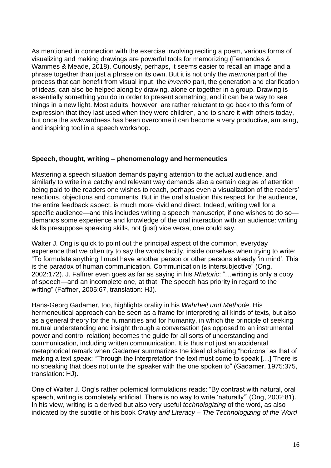As mentioned in connection with the exercise involving reciting a poem, various forms of visualizing and making drawings are powerful tools for memorizing (Fernandes & Wammes & Meade, 2018). Curiously, perhaps, it seems easier to recall an image and a phrase together than just a phrase on its own. But it is not only the *memoria* part of the process that can benefit from visual input; the *inventio* part, the generation and clarification of ideas, can also be helped along by drawing, alone or together in a group. Drawing is essentially something you do in order to present something, and it can be a way to see things in a new light. Most adults, however, are rather reluctant to go back to this form of expression that they last used when they were children, and to share it with others today, but once the awkwardness has been overcome it can become a very productive, amusing, and inspiring tool in a speech workshop.

## **Speech, thought, writing – phenomenology and hermeneutics**

Mastering a speech situation demands paying attention to the actual audience, and similarly to write in a catchy and relevant way demands also a certain degree of attention being paid to the readers one wishes to reach, perhaps even a visualization of the readers' reactions, objections and comments. But in the oral situation this respect for the audience, the entire feedback aspect, is much more vivid and direct. Indeed, writing well for a specific audience—and this includes writing a speech manuscript, if one wishes to do so demands some experience and knowledge of the oral interaction with an audience: writing skills presuppose speaking skills, not (just) vice versa, one could say.

Walter J. Ong is quick to point out the principal aspect of the common, everyday experience that we often try to say the words tacitly, inside ourselves when trying to write: "To formulate anything I must have another person or other persons already 'in mind'. This is the paradox of human communication. Communication is intersubjective" (Ong, 2002:172). J. Faffner even goes as far as saying in his *Rhetoric*: "…writing is only a copy of speech—and an incomplete one, at that. The speech has priority in regard to the writing" (Faffner, 2005:67, translation: HJ).

Hans-Georg Gadamer, too, highlights orality in his *Wahrheit und Methode*. His hermeneutical approach can be seen as a frame for interpreting all kinds of texts, but also as a general theory for the humanities and for humanity, in which the principle of seeking mutual understanding and insight through a conversation (as opposed to an instrumental power and control relation) becomes the guide for all sorts of understanding and communication, including written communication. It is thus not just an accidental metaphorical remark when Gadamer summarizes the ideal of sharing "horizons" as that of making a text *speak*: "Through the interpretation the text must come to speak […] There is no speaking that does not unite the speaker with the one spoken to" (Gadamer, 1975:375, translation: HJ).

One of Walter J. Ong's rather polemical formulations reads: "By contrast with natural, oral speech, writing is completely artificial. There is no way to write 'naturally'" (Ong, 2002:81). In his view, writing is a derived but also very useful *technologizing* of the word, as also indicated by the subtitle of his book *Orality and Literacy – The Technologizing of the Word*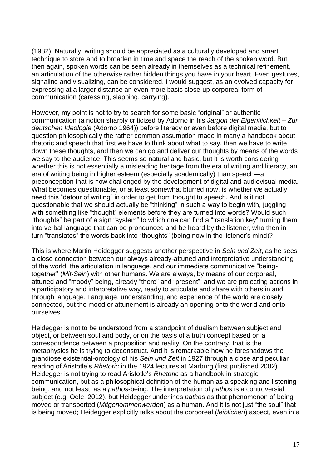(1982). Naturally, writing should be appreciated as a culturally developed and smart technique to store and to broaden in time and space the reach of the spoken word. But then again, spoken words can be seen already in themselves as a technical refinement, an articulation of the otherwise rather hidden things you have in your heart. Even gestures, signaling and visualizing, can be considered, I would suggest, as an evolved capacity for expressing at a larger distance an even more basic close-up corporeal form of communication (caressing, slapping, carrying).

However, my point is not to try to search for some basic "original" or authentic communication (a notion sharply criticized by Adorno in his *Jargon der Eigentlichkeit – Zur deutschen Ideologie* (Adorno 1964)) before literacy or even before digital media, but to question philosophically the rather common assumption made in many a handbook about rhetoric and speech that first we have to think about what to say, then we have to write down these thoughts, and then we can go and deliver our thoughts by means of the words we say to the audience. This seems so natural and basic, but it is worth considering whether this is not essentially a misleading heritage from the era of writing and literacy, an era of writing being in higher esteem (especially academically) than speech—a preconception that is now challenged by the development of digital and audiovisual media. What becomes questionable, or at least somewhat blurred now, is whether we actually need this "detour of writing" in order to get from thought to speech. And is it not questionable that we should actually be "thinking" in such a way to begin with, juggling with something like "thought" elements before they are turned into words? Would such "thoughts" be part of a sign "system" to which one can find a "translation key" turning them into verbal language that can be pronounced and be heard by the listener, who then in turn "translates" the words back into "thoughts" (being now in the listener's mind)?

This is where Martin Heidegger suggests another perspective in *Sein und Zeit*, as he sees a close connection between our always already-attuned and interpretative understanding of the world, the articulation in language, and our immediate communicative "beingtogether" (*Mit-Sein*) with other humans. We are always, by means of our corporeal, attuned and "moody" being, already "there" and "present"; and we are projecting actions in a participatory and interpretative way, ready to articulate and share with others in and through language. Language, understanding, and experience of the world are closely connected, but the mood or attunement is already an opening onto the world and onto ourselves.

Heidegger is not to be understood from a standpoint of dualism between subject and object, or between soul and body, or on the basis of a truth concept based on a correspondence between a proposition and reality. On the contrary, that is the metaphysics he is trying to deconstruct. And it is remarkable how he foreshadows the grandiose existential-ontology of his *Sein und Zeit* in 1927 through a close and peculiar reading of Aristotle's *Rhetoric* in the 1924 lectures at Marburg (first published 2002). Heidegger is not trying to read Aristotle's *Rhetoric* as a handbook in strategic communication, but as a philosophical definition of the human as a speaking and listening being, and not least, as a *pathos*-being. The interpretation of *pathos* is a controversial subject (e.g. Oele, 2012), but Heidegger underlines *pathos* as that phenomenon of being moved or transported (*Mitgenommenwerden*) as a human. And it is not just "the soul" that is being moved; Heidegger explicitly talks about the corporeal (*leiblichen*) aspect, even in a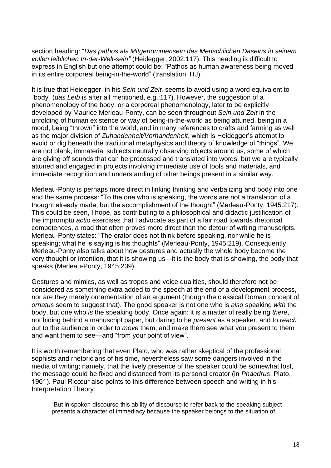section heading: "*Das pathos als Mitgenommensein des Menschlichen Daseins in seinem vollen leiblichen In-der-Welt-sein"* (Heidegger, 2002:117). This heading is difficult to express in English but one attempt could be: "Pathos as human awareness being moved in its entire corporeal being-in-the-world" (translation: HJ).

It is true that Heidegger, in his *Sein und Zeit,* seems to avoid using a word equivalent to "body" (*das Leib* is after all mentioned, e.g.:117). However, the suggestion of a phenomenology of the body, or a corporeal phenomenology, later to be explicitly developed by Maurice Merleau-Ponty, can be seen throughout *Sein und Zeit* in the unfolding of human existence or way of being-in-the-world as being attuned, being in a mood, being "thrown" into the world, and in many references to crafts and farming as well as the major division of *Zuhandenheit/Vorhandenheit*, which is Heidegger's attempt to avoid or dig beneath the traditional metaphysics and theory of knowledge of "things". We are not blank, immaterial subjects neutrally observing objects around us, some of which are giving off sounds that can be processed and translated into words, but we are typically attuned and engaged in projects involving immediate use of tools and materials, and immediate recognition and understanding of other beings present in a similar way.

Merleau-Ponty is perhaps more direct in linking thinking and verbalizing and body into one and the same process: "To the one who is speaking, the words are not a translation of a thought already made, but the accomplishment of the thought" (Merleau-Ponty, 1945:217). This could be seen, I hope, as contributing to a philosophical and didactic justification of the impromptu *actio* exercises that I advocate as part of a fair road towards rhetorical competences, a road that often proves more direct than the detour of writing manuscripts. Merleau-Ponty states: "The orator does not think before speaking, nor while he is speaking; what he is saying is his thoughts" (Merleau-Ponty, 1945:219). Consequently Merleau-Ponty also talks about how gestures and actually the whole body become the very thought or intention, that it is showing us—it is the body that is showing, the body that speaks (Merleau-Ponty, 1945:239).

Gestures and mimics, as well as tropes and voice qualities, should therefore not be considered as something extra added to the speech at the end of a development process, nor are they merely ornamentation of an argument (though the classical Roman concept of *ornatus* seem to suggest that). The good speaker is not one who is *also* speaking *with* the body, but one who *is* the speaking body. Once again: it is a matter of really being *there*, not hiding behind a manuscript paper, but daring to be *present* as a speaker, and to *reach* out to the audience in order to *move* them, and make them see what you present to them and want them to see—and "from your point of view".

It is worth remembering that even Plato, who was rather skeptical of the professional sophists and rhetoricians of his time, nevertheless saw some dangers involved in the media of writing; namely, that the lively presence of the speaker could be somewhat lost, the message could be fixed and distanced from its personal creator (in *Phaedrus*, Plato, 1961). Paul Ricœur also points to this difference between speech and writing in his Interpretation Theory:

"But in spoken discourse this ability of discourse to refer back to the speaking subject presents a character of immediacy because the speaker belongs to the situation of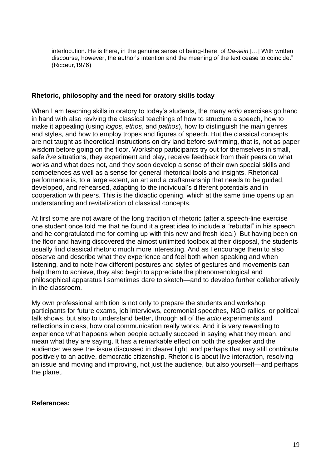interlocution. He is there, in the genuine sense of being-there, of *Da-sein* […] With written discourse, however, the author's intention and the meaning of the text cease to coincide." (Ricœur,1976)

### **Rhetoric, philosophy and the need for oratory skills today**

When I am teaching skills in oratory to today's students, the many *actio* exercises go hand in hand with also reviving the classical teachings of how to structure a speech, how to make it appealing (using *logos*, *ethos*, and *pathos*), how to distinguish the main genres and styles, and how to employ tropes and figures of speech. But the classical concepts are not taught as theoretical instructions on dry land before swimming, that is, not as paper wisdom before going on the floor. Workshop participants try out for themselves in small, safe *live* situations, they experiment and play, receive feedback from their peers on what works and what does not, and they soon develop a sense of their own special skills and competences as well as a sense for general rhetorical tools and insights. Rhetorical performance is, to a large extent, an art and a craftsmanship that needs to be guided, developed, and rehearsed, adapting to the individual's different potentials and in cooperation with peers. This is the didactic opening, which at the same time opens up an understanding and revitalization of classical concepts.

At first some are not aware of the long tradition of rhetoric (after a speech-line exercise one student once told me that he found it a great idea to include a "rebuttal" in his speech, and he congratulated me for coming up with this new and fresh idea!). But having been on the floor and having discovered the almost unlimited toolbox at their disposal, the students usually find classical rhetoric much more interesting. And as I encourage them to also observe and describe what they experience and feel both when speaking and when listening, and to note how different postures and styles of gestures and movements can help them to achieve, they also begin to appreciate the phenomenological and philosophical apparatus I sometimes dare to sketch—and to develop further collaboratively in the classroom.

My own professional ambition is not only to prepare the students and workshop participants for future exams, job interviews, ceremonial speeches, NGO rallies, or political talk shows, but also to understand better, through all of the *actio* experiments and reflections in class, how oral communication really works. And it is very rewarding to experience what happens when people actually succeed in saying what they mean, and mean what they are saying. It has a remarkable effect on both the speaker and the audience: we see the issue discussed in clearer light, and perhaps that may still contribute positively to an active, democratic citizenship. Rhetoric is about live interaction, resolving an issue and moving and improving, not just the audience, but also yourself—and perhaps the planet.

### **References:**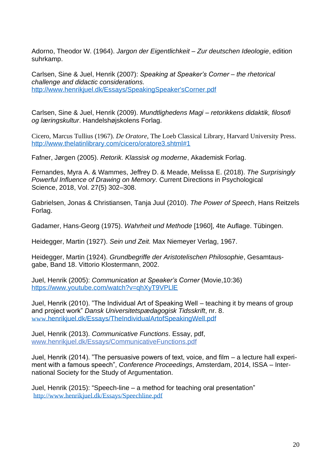Adorno, Theodor W. (1964). *Jargon der Eigentlichkeit – Zur deutschen Ideologie*, edition suhrkamp.

Carlsen, Sine & Juel, Henrik (2007): *Speaking at Speaker's Corner – the rhetorical challenge and didactic considerations.* [http://www.henrikjuel.dk/Essays/SpeakingSpeaker'sCorner.pdf](http://www.henrikjuel.dk/Essays/SpeakingSpeaker)

Carlsen, Sine & Juel, Henrik (2009). *Mundtlighedens Magi – retorikkens didaktik, filosofi og læringskultur*. Handelshøjskolens Forlag.

Cicero, Marcus Tullius (1967). *De Oratore*, The Loeb Classical Library, Harvard University Press. <http://www.thelatinlibrary.com/cicero/oratore3.shtml#1>

Fafner, Jørgen (2005). *Retorik. Klassisk og moderne*, Akademisk Forlag.

Fernandes, Myra A. & Wammes, Jeffrey D. & Meade, Melissa E. (2018). *The Surprisingly Powerful Influence of Drawing on Memory.* Current Directions in Psychological Science, 2018, Vol. 27(5) 302–308.

Gabrielsen, Jonas & Christiansen, Tanja Juul (2010). *The Power of Speech*, Hans Reitzels Forlag.

Gadamer, Hans-Georg (1975). *Wahrheit und Methode* [1960], 4te Auflage. Tübingen.

Heidegger, Martin (1927). *Sein und Zeit.* Max Niemeyer Verlag, 1967.

Heidegger, Martin (1924). *Grundbegriffe der Aristotelischen Philosophie*, Gesamtausgabe, Band 18. Vittorio Klostermann, 2002.

Juel, Henrik (2005): *Communication at Speaker's Corner* (Movie,10:36) <https://www.youtube.com/watch?v=qhXyT9VPLlE>

Juel, Henrik (2010). "The Individual Art of Speaking Well – teaching it by means of group and project work" *Dansk Universitetspædagogisk Tidsskrift*, nr. 8. www.[henrikjuel.dk/Essays/TheIndividualArtofSpeakingWell.pdf](http://www.henrikjuel.dk/Essays/TheIndividualArtofSpeakingWell.pdf)

Juel, Henrik (2013). *Communicative Functions*. Essay, pdf, [www.henrikjuel.dk/Essays/CommunicativeFunctions.pdf](http://www.henrikjuel.dk/Essays/CommunicativeFunctions.pdf)

Juel, Henrik (2014). "The persuasive powers of text, voice, and film – a lecture hall experiment with a famous speech", *Conference Proceedings*, Amsterdam, 2014, ISSA – International Society for the Study of Argumentation.

Juel, Henrik (2015): "Speech-line – a method for teaching oral presentation" <http://www.henrikjuel.dk/Essays/Speechline.pdf>